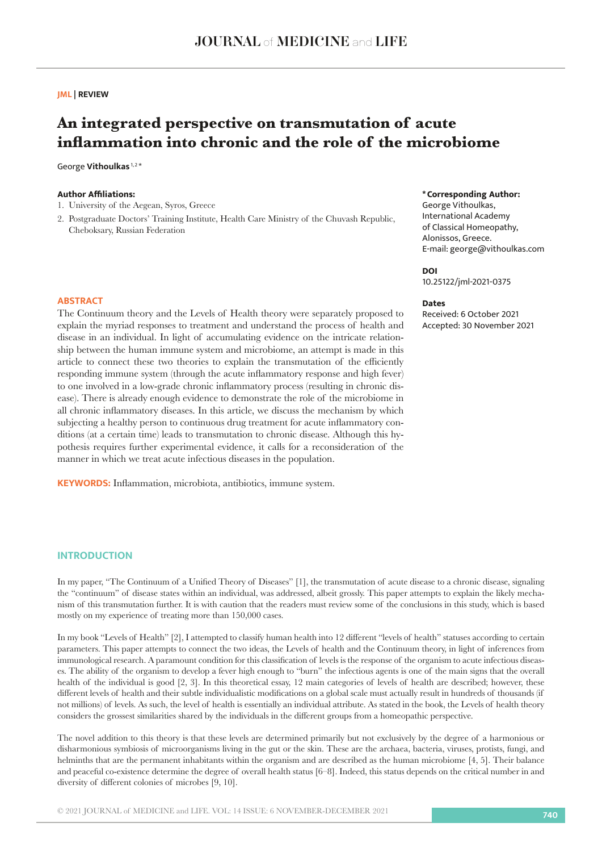## **JML | REVIEW**

# **An integrated perspective on transmutation of acute inflammation into chronic and the role of the microbiome**

George **Vithoulkas**<sup>1,2\*</sup>

## **Author Affiliations:**

- 1. University of the Aegean, Syros, Greece
- 2. Postgraduate Doctors' Training Institute, Health Care Ministry of the Chuvash Republic, Cheboksary, Russian Federation

#### **\*Corresponding Author:**

George Vithoulkas, International Academy of Classical Homeopathy, Alonissos, Greece. E-mail: george@vithoulkas.com

#### **DOI**

10.25122/jml-2021-0375

#### **Dates**

Received: 6 October 2021 Accepted: 30 November 2021

#### **ABSTRACT**

The Continuum theory and the Levels of Health theory were separately proposed to explain the myriad responses to treatment and understand the process of health and disease in an individual. In light of accumulating evidence on the intricate relationship between the human immune system and microbiome, an attempt is made in this article to connect these two theories to explain the transmutation of the efficiently responding immune system (through the acute inflammatory response and high fever) to one involved in a low-grade chronic inflammatory process (resulting in chronic disease). There is already enough evidence to demonstrate the role of the microbiome in all chronic inflammatory diseases. In this article, we discuss the mechanism by which subjecting a healthy person to continuous drug treatment for acute inflammatory conditions (at a certain time) leads to transmutation to chronic disease. Although this hypothesis requires further experimental evidence, it calls for a reconsideration of the manner in which we treat acute infectious diseases in the population.

**KEYWORDS:** Inflammation, microbiota, antibiotics, immune system.

# **INTRODUCTION**

In my paper, "The Continuum of a Unified Theory of Diseases" [1], the transmutation of acute disease to a chronic disease, signaling the "continuum" of disease states within an individual, was addressed, albeit grossly. This paper attempts to explain the likely mechanism of this transmutation further. It is with caution that the readers must review some of the conclusions in this study, which is based mostly on my experience of treating more than 150,000 cases.

In my book "Levels of Health" [2], I attempted to classify human health into 12 different "levels of health" statuses according to certain parameters. This paper attempts to connect the two ideas, the Levels of health and the Continuum theory, in light of inferences from immunological research. A paramount condition for this classification of levels is the response of the organism to acute infectious diseases. The ability of the organism to develop a fever high enough to "burn" the infectious agents is one of the main signs that the overall health of the individual is good [2, 3]. In this theoretical essay, 12 main categories of levels of health are described; however, these different levels of health and their subtle individualistic modifications on a global scale must actually result in hundreds of thousands (if not millions) of levels. As such, the level of health is essentially an individual attribute. As stated in the book, the Levels of health theory considers the grossest similarities shared by the individuals in the different groups from a homeopathic perspective.

The novel addition to this theory is that these levels are determined primarily but not exclusively by the degree of a harmonious or disharmonious symbiosis of microorganisms living in the gut or the skin. These are the archaea, bacteria, viruses, protists, fungi, and helminths that are the permanent inhabitants within the organism and are described as the human microbiome [4, 5]. Their balance and peaceful co-existence determine the degree of overall health status [6–8]. Indeed, this status depends on the critical number in and diversity of different colonies of microbes [9, 10].

© 2021 JOURNAL of MEDICINE and LIFE. VOL: 14 ISSUE: 6 NOVEMBER-DECEMBER 2021 **<sup>740</sup>**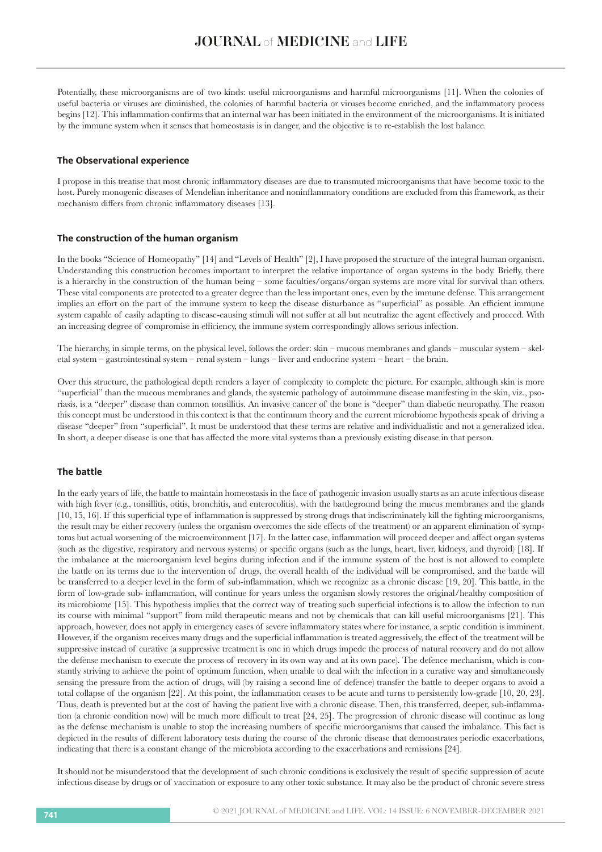Potentially, these microorganisms are of two kinds: useful microorganisms and harmful microorganisms [11]. When the colonies of useful bacteria or viruses are diminished, the colonies of harmful bacteria or viruses become enriched, and the inflammatory process begins [12]. This inflammation confirms that an internal war has been initiated in the environment of the microorganisms. It is initiated by the immune system when it senses that homeostasis is in danger, and the objective is to re-establish the lost balance.

#### **The Observational experience**

Ι propose in this treatise that most chronic inflammatory diseases are due to transmuted microorganisms that have become toxic to the host. Purely monogenic diseases of Mendelian inheritance and noninflammatory conditions are excluded from this framework, as their mechanism differs from chronic inflammatory diseases [13].

### **The construction of the human organism**

In the books "Science of Homeopathy" [14] and "Levels of Health" [2], I have proposed the structure of the integral human organism. Understanding this construction becomes important to interpret the relative importance of organ systems in the body. Briefly, there is a hierarchy in the construction of the human being – some faculties/organs/organ systems are more vital for survival than others. These vital components are protected to a greater degree than the less important ones, even by the immune defense. This arrangement implies an effort on the part of the immune system to keep the disease disturbance as "superficial" as possible. An efficient immune system capable of easily adapting to disease-causing stimuli will not suffer at all but neutralize the agent effectively and proceed. With an increasing degree of compromise in efficiency, the immune system correspondingly allows serious infection.

The hierarchy, in simple terms, on the physical level, follows the order: skin – mucous membranes and glands – muscular system – skeletal system – gastrointestinal system – renal system – lungs – liver and endocrine system – heart – the brain.

Over this structure, the pathological depth renders a layer of complexity to complete the picture. For example, although skin is more "superficial" than the mucous membranes and glands, the systemic pathology of autoimmune disease manifesting in the skin, viz., psoriasis, is a "deeper" disease than common tonsillitis. An invasive cancer of the bone is "deeper" than diabetic neuropathy. The reason this concept must be understood in this context is that the continuum theory and the current microbiome hypothesis speak of driving a disease "deeper" from "superficial". It must be understood that these terms are relative and individualistic and not a generalized idea. In short, a deeper disease is one that has affected the more vital systems than a previously existing disease in that person.

# **The battle**

In the early years of life, the battle to maintain homeostasis in the face of pathogenic invasion usually starts as an acute infectious disease with high fever (e.g., tonsillitis, otitis, bronchitis, and enterocolitis), with the battleground being the mucus membranes and the glands [10, 15, 16]. If this superficial type of inflammation is suppressed by strong drugs that indiscriminately kill the fighting microorganisms, the result may be either recovery (unless the organism overcomes the side effects of the treatment) or an apparent elimination of symptoms but actual worsening of the microenvironment [17]. In the latter case, inflammation will proceed deeper and affect organ systems (such as the digestive, respiratory and nervous systems) or specific organs (such as the lungs, heart, liver, kidneys, and thyroid) [18]. If the imbalance at the microorganism level begins during infection and if the immune system of the host is not allowed to complete the battle on its terms due to the intervention of drugs, the overall health of the individual will be compromised, and the battle will be transferred to a deeper level in the form of sub-inflammation, which we recognize as a chronic disease [19, 20]. This battle, in the form of low-grade sub- inflammation, will continue for years unless the organism slowly restores the original/healthy composition of its microbiome [15]. This hypothesis implies that the correct way of treating such superficial infections is to allow the infection to run its course with minimal "support" from mild therapeutic means and not by chemicals that can kill useful microorganisms [21]. This approach, however, does not apply in emergency cases of severe inflammatory states where for instance, a septic condition is imminent. However, if the organism receives many drugs and the superficial inflammation is treated aggressively, the effect of the treatment will be suppressive instead of curative (a suppressive treatment is one in which drugs impede the process of natural recovery and do not allow the defense mechanism to execute the process of recovery in its own way and at its own pace). The defence mechanism, which is constantly striving to achieve the point of optimum function, when unable to deal with the infection in a curative way and simultaneously sensing the pressure from the action of drugs, will (by raising a second line of defence) transfer the battle to deeper organs to avoid a total collapse of the organism [22]. At this point, the inflammation ceases to be acute and turns to persistently low-grade [10, 20, 23]. Thus, death is prevented but at the cost of having the patient live with a chronic disease. Then, this transferred, deeper, sub-inflammation (a chronic condition now) will be much more difficult to treat [24, 25]. The progression of chronic disease will continue as long as the defense mechanism is unable to stop the increasing numbers of specific microorganisms that caused the imbalance. This fact is depicted in the results of different laboratory tests during the course of the chronic disease that demonstrates periodic exacerbations, indicating that there is a constant change of the microbiota according to the exacerbations and remissions [24].

It should not be misunderstood that the development of such chronic conditions is exclusively the result of specific suppression of acute infectious disease by drugs or of vaccination or exposure to any other toxic substance. It may also be the product of chronic severe stress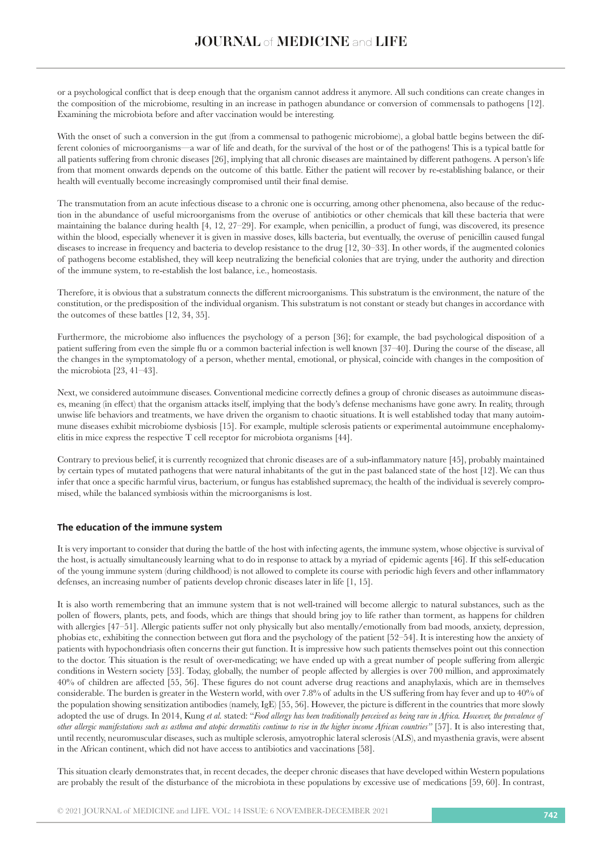or a psychological conflict that is deep enough that the organism cannot address it anymore. All such conditions can create changes in the composition of the microbiome, resulting in an increase in pathogen abundance or conversion of commensals to pathogens [12]. Examining the microbiota before and after vaccination would be interesting.

With the onset of such a conversion in the gut (from a commensal to pathogenic microbiome), a global battle begins between the different colonies of microorganisms—a war of life and death, for the survival of the host or of the pathogens! This is a typical battle for all patients suffering from chronic diseases [26], implying that all chronic diseases are maintained by different pathogens. A person's life from that moment onwards depends on the outcome of this battle. Either the patient will recover by re-establishing balance, or their health will eventually become increasingly compromised until their final demise.

The transmutation from an acute infectious disease to a chronic one is occurring, among other phenomena, also because of the reduction in the abundance of useful microorganisms from the overuse of antibiotics or other chemicals that kill these bacteria that were maintaining the balance during health [4, 12, 27–29]. For example, when penicillin, a product of fungi, was discovered, its presence within the blood, especially whenever it is given in massive doses, kills bacteria, but eventually, the overuse of penicillin caused fungal diseases to increase in frequency and bacteria to develop resistance to the drug [12, 30–33]. In other words, if the augmented colonies of pathogens become established, they will keep neutralizing the beneficial colonies that are trying, under the authority and direction of the immune system, to re-establish the lost balance, i.e., homeostasis.

Therefore, it is obvious that a substratum connects the different microorganisms. This substratum is the environment, the nature of the constitution, or the predisposition of the individual organism. This substratum is not constant or steady but changes in accordance with the outcomes of these battles [12, 34, 35].

Furthermore, the microbiome also influences the psychology of a person [36]; for example, the bad psychological disposition of a patient suffering from even the simple flu or a common bacterial infection is well known [37–40]. During the course of the disease, all the changes in the symptomatology of a person, whether mental, emotional, or physical, coincide with changes in the composition of the microbiota [23, 41–43].

Next, we considered autoimmune diseases. Conventional medicine correctly defines a group of chronic diseases as autoimmune diseases, meaning (in effect) that the organism attacks itself, implying that the body's defense mechanisms have gone awry. In reality, through unwise life behaviors and treatments, we have driven the organism to chaotic situations. It is well established today that many autoimmune diseases exhibit microbiome dysbiosis [15]. For example, multiple sclerosis patients or experimental autoimmune encephalomyelitis in mice express the respective T cell receptor for microbiota organisms [44].

Contrary to previous belief, it is currently recognized that chronic diseases are of a sub-inflammatory nature [45], probably maintained by certain types of mutated pathogens that were natural inhabitants of the gut in the past balanced state of the host [12]. We can thus infer that once a specific harmful virus, bacterium, or fungus has established supremacy, the health of the individual is severely compromised, while the balanced symbiosis within the microorganisms is lost.

# **The education of the immune system**

It is very important to consider that during the battle of the host with infecting agents, the immune system, whose objective is survival of the host, is actually simultaneously learning what to do in response to attack by a myriad of epidemic agents [46]. If this self-education of the young immune system (during childhood) is not allowed to complete its course with periodic high fevers and other inflammatory defenses, an increasing number of patients develop chronic diseases later in life [1, 15].

It is also worth remembering that an immune system that is not well-trained will become allergic to natural substances, such as the pollen of flowers, plants, pets, and foods, which are things that should bring joy to life rather than torment, as happens for children with allergies [47–51]. Allergic patients suffer not only physically but also mentally/emotionally from bad moods, anxiety, depression, phobias etc, exhibiting the connection between gut flora and the psychology of the patient [52–54]. It is interesting how the anxiety of patients with hypochondriasis often concerns their gut function. It is impressive how such patients themselves point out this connection to the doctor. This situation is the result of over-medicating; we have ended up with a great number of people suffering from allergic conditions in Western society [53]. Today, globally, the number of people affected by allergies is over 700 million, and approximately 40% of children are affected [55, 56]. These figures do not count adverse drug reactions and anaphylaxis, which are in themselves considerable. The burden is greater in the Western world, with over 7.8% of adults in the US suffering from hay fever and up to 40% of the population showing sensitization antibodies (namely, IgE) [55, 56]. However, the picture is different in the countries that more slowly adopted the use of drugs. In 2014, Kung *et al.* stated: "*Food allergy has been traditionally perceived as being rare in Africa. However, the prevalence of other allergic manifestations such as asthma and atopic dermatitis continue to rise in the higher income African countries"* [57]. It is also interesting that, until recently, neuromuscular diseases, such as multiple sclerosis, amyotrophic lateral sclerosis (ALS), and myasthenia gravis, were absent in the African continent, which did not have access to antibiotics and vaccinations [58].

This situation clearly demonstrates that, in recent decades, the deeper chronic diseases that have developed within Western populations are probably the result of the disturbance of the microbiota in these populations by excessive use of medications [59, 60]. In contrast,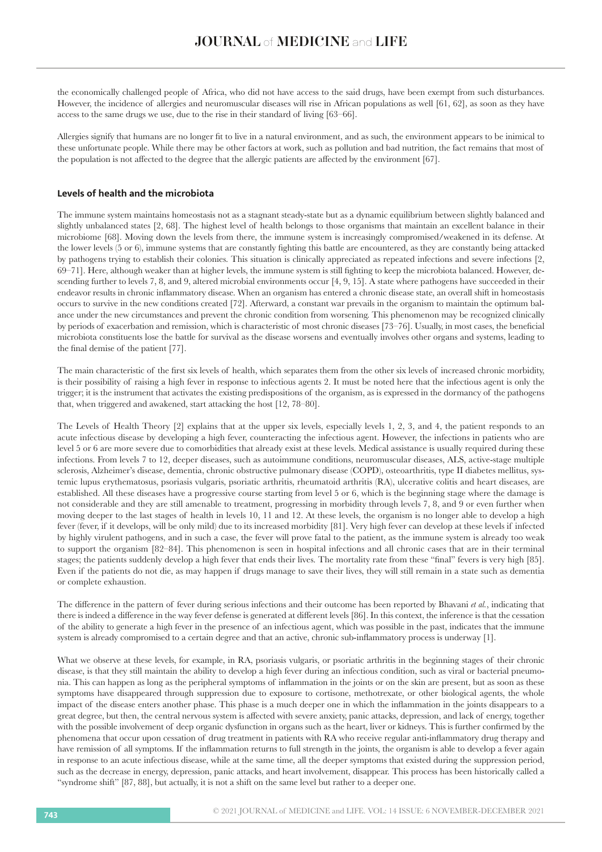the economically challenged people of Africa, who did not have access to the said drugs, have been exempt from such disturbances. However, the incidence of allergies and neuromuscular diseases will rise in African populations as well [61, 62], as soon as they have access to the same drugs we use, due to the rise in their standard of living [63–66].

Allergies signify that humans are no longer fit to live in a natural environment, and as such, the environment appears to be inimical to these unfortunate people. While there may be other factors at work, such as pollution and bad nutrition, the fact remains that most of the population is not affected to the degree that the allergic patients are affected by the environment [67].

## **Levels of health and the microbiota**

The immune system maintains homeostasis not as a stagnant steady-state but as a dynamic equilibrium between slightly balanced and slightly unbalanced states [2, 68]. The highest level of health belongs to those organisms that maintain an excellent balance in their microbiome [68]. Moving down the levels from there, the immune system is increasingly compromised/weakened in its defense. At the lower levels (5 or 6), immune systems that are constantly fighting this battle are encountered, as they are constantly being attacked by pathogens trying to establish their colonies. This situation is clinically appreciated as repeated infections and severe infections [2, 69–71]. Here, although weaker than at higher levels, the immune system is still fighting to keep the microbiota balanced. However, descending further to levels 7, 8, and 9, altered microbial environments occur [4, 9, 15]. A state where pathogens have succeeded in their endeavor results in chronic inflammatory disease. When an organism has entered a chronic disease state, an overall shift in homeostasis occurs to survive in the new conditions created [72]. Afterward, a constant war prevails in the organism to maintain the optimum balance under the new circumstances and prevent the chronic condition from worsening. This phenomenon may be recognized clinically by periods of exacerbation and remission, which is characteristic of most chronic diseases [73–76]. Usually, in most cases, the beneficial microbiota constituents lose the battle for survival as the disease worsens and eventually involves other organs and systems, leading to the final demise of the patient [77].

The main characteristic of the first six levels of health, which separates them from the other six levels of increased chronic morbidity, is their possibility of raising a high fever in response to infectious agents 2. It must be noted here that the infectious agent is only the trigger; it is the instrument that activates the existing predispositions of the organism, as is expressed in the dormancy of the pathogens that, when triggered and awakened, start attacking the host [12, 78–80].

The Levels of Health Theory [2] explains that at the upper six levels, especially levels 1, 2, 3, and 4, the patient responds to an acute infectious disease by developing a high fever, counteracting the infectious agent. However, the infections in patients who are level 5 or 6 are more severe due to comorbidities that already exist at these levels. Medical assistance is usually required during these infections. From levels 7 to 12, deeper diseases, such as autoimmune conditions, neuromuscular diseases, ALS, active-stage multiple sclerosis, Alzheimer's disease, dementia, chronic obstructive pulmonary disease (COPD), osteoarthritis, type II diabetes mellitus, systemic lupus erythematosus, psoriasis vulgaris, psoriatic arthritis, rheumatoid arthritis (RA), ulcerative colitis and heart diseases, are established. All these diseases have a progressive course starting from level 5 or 6, which is the beginning stage where the damage is not considerable and they are still amenable to treatment, progressing in morbidity through levels 7, 8, and 9 or even further when moving deeper to the last stages of health in levels 10, 11 and 12. At these levels, the organism is no longer able to develop a high fever (fever, if it develops, will be only mild) due to its increased morbidity [81]. Very high fever can develop at these levels if infected by highly virulent pathogens, and in such a case, the fever will prove fatal to the patient, as the immune system is already too weak to support the organism [82–84]. This phenomenon is seen in hospital infections and all chronic cases that are in their terminal stages; the patients suddenly develop a high fever that ends their lives. The mortality rate from these "final" fevers is very high [85]. Even if the patients do not die, as may happen if drugs manage to save their lives, they will still remain in a state such as dementia or complete exhaustion.

The difference in the pattern of fever during serious infections and their outcome has been reported by Bhavani *et al.*, indicating that there is indeed a difference in the way fever defense is generated at different levels [86]. In this context, the inference is that the cessation of the ability to generate a high fever in the presence of an infectious agent, which was possible in the past, indicates that the immune system is already compromised to a certain degree and that an active, chronic sub-inflammatory process is underway [1].

What we observe at these levels, for example, in RA, psoriasis vulgaris, or psoriatic arthritis in the beginning stages of their chronic disease, is that they still maintain the ability to develop a high fever during an infectious condition, such as viral or bacterial pneumonia. This can happen as long as the peripheral symptoms of inflammation in the joints or on the skin are present, but as soon as these symptoms have disappeared through suppression due to exposure to cortisone, methotrexate, or other biological agents, the whole impact of the disease enters another phase. This phase is a much deeper one in which the inflammation in the joints disappears to a great degree, but then, the central nervous system is affected with severe anxiety, panic attacks, depression, and lack of energy, together with the possible involvement of deep organic dysfunction in organs such as the heart, liver or kidneys. This is further confirmed by the phenomena that occur upon cessation of drug treatment in patients with RA who receive regular anti-inflammatory drug therapy and have remission of all symptoms. If the inflammation returns to full strength in the joints, the organism is able to develop a fever again in response to an acute infectious disease, while at the same time, all the deeper symptoms that existed during the suppression period, such as the decrease in energy, depression, panic attacks, and heart involvement, disappear. This process has been historically called a "syndrome shift" [87, 88], but actually, it is not a shift on the same level but rather to a deeper one.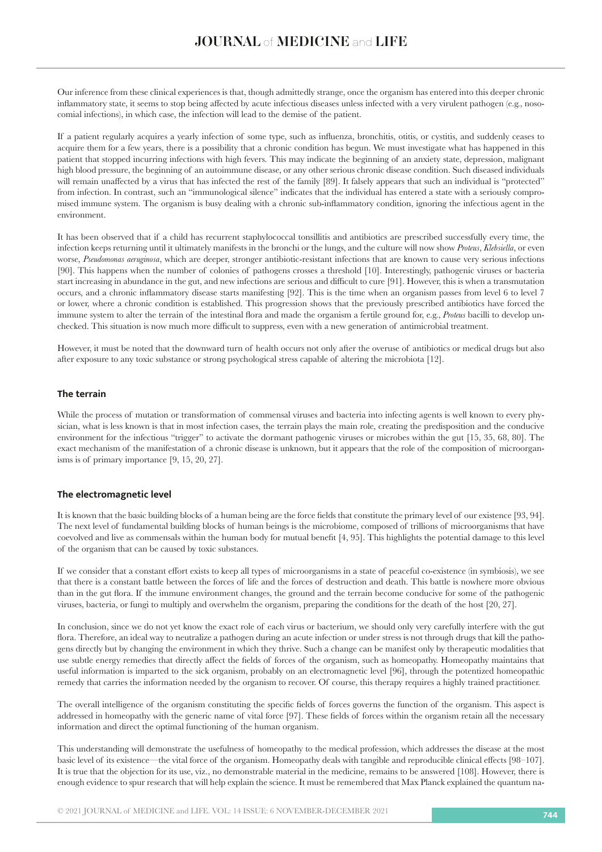Our inference from these clinical experiences is that, though admittedly strange, once the organism has entered into this deeper chronic inflammatory state, it seems to stop being affected by acute infectious diseases unless infected with a very virulent pathogen (e.g., nosocomial infections), in which case, the infection will lead to the demise of the patient.

If a patient regularly acquires a yearly infection of some type, such as influenza, bronchitis, otitis, or cystitis, and suddenly ceases to acquire them for a few years, there is a possibility that a chronic condition has begun. We must investigate what has happened in this patient that stopped incurring infections with high fevers. This may indicate the beginning of an anxiety state, depression, malignant high blood pressure, the beginning of an autoimmune disease, or any other serious chronic disease condition. Such diseased individuals will remain unaffected by a virus that has infected the rest of the family [89]. It falsely appears that such an individual is "protected" from infection. In contrast, such an "immunological silence" indicates that the individual has entered a state with a seriously compromised immune system. The organism is busy dealing with a chronic sub-inflammatory condition, ignoring the infectious agent in the environment.

It has been observed that if a child has recurrent staphylococcal tonsillitis and antibiotics are prescribed successfully every time, the infection keeps returning until it ultimately manifests in the bronchi or the lungs, and the culture will now show *Proteus*, *Klebsiella*, or even worse, *Pseudomonas aeruginosa*, which are deeper, stronger antibiotic-resistant infections that are known to cause very serious infections [90]. This happens when the number of colonies of pathogens crosses a threshold [10]. Interestingly, pathogenic viruses or bacteria start increasing in abundance in the gut, and new infections are serious and difficult to cure [91]. However, this is when a transmutation occurs, and a chronic inflammatory disease starts manifesting [92]. This is the time when an organism passes from level 6 to level 7 or lower, where a chronic condition is established. This progression shows that the previously prescribed antibiotics have forced the immune system to alter the terrain of the intestinal flora and made the organism a fertile ground for, e.g., *Proteus* bacilli to develop unchecked. This situation is now much more difficult to suppress, even with a new generation of antimicrobial treatment.

However, it must be noted that the downward turn of health occurs not only after the overuse of antibiotics or medical drugs but also after exposure to any toxic substance or strong psychological stress capable of altering the microbiota [12].

### **The terrain**

While the process of mutation or transformation of commensal viruses and bacteria into infecting agents is well known to every physician, what is less known is that in most infection cases, the terrain plays the main role, creating the predisposition and the conducive environment for the infectious "trigger" to activate the dormant pathogenic viruses or microbes within the gut [15, 35, 68, 80]. The exact mechanism of the manifestation of a chronic disease is unknown, but it appears that the role of the composition of microorganisms is of primary importance [9, 15, 20, 27].

# **The electromagnetic level**

It is known that the basic building blocks of a human being are the force fields that constitute the primary level of our existence [93, 94]. The next level of fundamental building blocks of human beings is the microbiome, composed of trillions of microorganisms that have coevolved and live as commensals within the human body for mutual benefit [4, 95]. This highlights the potential damage to this level of the organism that can be caused by toxic substances.

If we consider that a constant effort exists to keep all types of microorganisms in a state of peaceful co-existence (in symbiosis), we see that there is a constant battle between the forces of life and the forces of destruction and death. This battle is nowhere more obvious than in the gut flora. If the immune environment changes, the ground and the terrain become conducive for some of the pathogenic viruses, bacteria, or fungi to multiply and overwhelm the organism, preparing the conditions for the death of the host [20, 27].

In conclusion, since we do not yet know the exact role of each virus or bacterium, we should only very carefully interfere with the gut flora. Therefore, an ideal way to neutralize a pathogen during an acute infection or under stress is not through drugs that kill the pathogens directly but by changing the environment in which they thrive. Such a change can be manifest only by therapeutic modalities that use subtle energy remedies that directly affect the fields of forces of the organism, such as homeopathy. Homeopathy maintains that useful information is imparted to the sick organism, probably on an electromagnetic level [96], through the potentized homeopathic remedy that carries the information needed by the organism to recover. Of course, this therapy requires a highly trained practitioner.

The overall intelligence of the organism constituting the specific fields of forces governs the function of the organism. This aspect is addressed in homeopathy with the generic name of vital force [97]. These fields of forces within the organism retain all the necessary information and direct the optimal functioning of the human organism.

This understanding will demonstrate the usefulness of homeopathy to the medical profession, which addresses the disease at the most basic level of its existence—the vital force of the organism. Homeopathy deals with tangible and reproducible clinical effects [98–107]. It is true that the objection for its use, viz., no demonstrable material in the medicine, remains to be answered [108]. However, there is enough evidence to spur research that will help explain the science. It must be remembered that Max Planck explained the quantum na-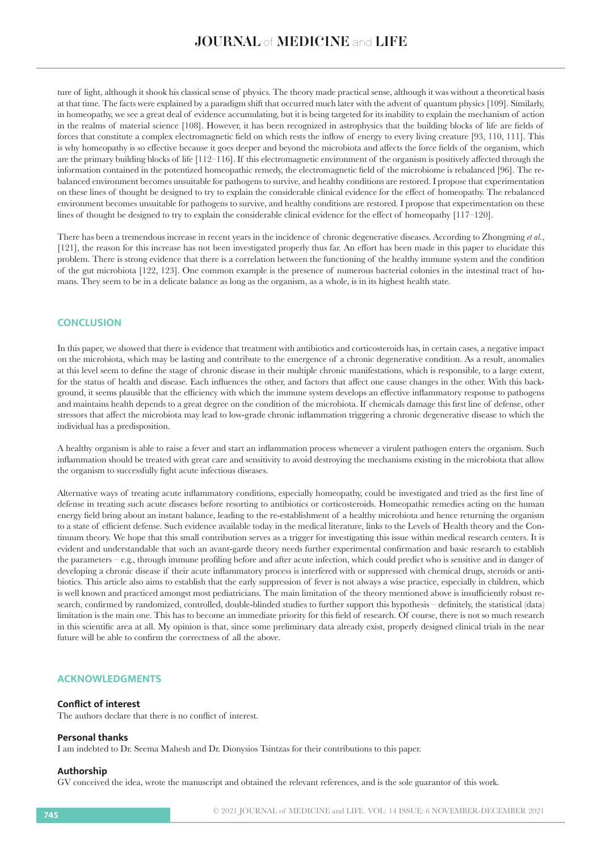ture of light, although it shook his classical sense of physics. The theory made practical sense, although it was without a theoretical basis at that time. The facts were explained by a paradigm shift that occurred much later with the advent of quantum physics [109]. Similarly, in homeopathy, we see a great deal of evidence accumulating, but it is being targeted for its inability to explain the mechanism of action in the realms of material science [108]. However, it has been recognized in astrophysics that the building blocks of life are fields of forces that constitute a complex electromagnetic field on which rests the inflow of energy to every living creature [93, 110, 111]. This is why homeopathy is so effective because it goes deeper and beyond the microbiota and affects the force fields of the organism, which are the primary building blocks of life [112–116]. If this electromagnetic environment of the organism is positively affected through the information contained in the potentized homeopathic remedy, the electromagnetic field of the microbiome is rebalanced [96]. The rebalanced environment becomes unsuitable for pathogens to survive, and healthy conditions are restored. I propose that experimentation on these lines of thought be designed to try to explain the considerable clinical evidence for the effect of homeopathy. The rebalanced environment becomes unsuitable for pathogens to survive, and healthy conditions are restored. I propose that experimentation on these lines of thought be designed to try to explain the considerable clinical evidence for the effect of homeopathy [117–120].

There has been a tremendous increase in recent years in the incidence of chronic degenerative diseases. According to Zhongming *et al.*, [121], the reason for this increase has not been investigated properly thus far. An effort has been made in this paper to elucidate this problem. There is strong evidence that there is a correlation between the functioning of the healthy immune system and the condition of the gut microbiota [122, 123]. One common example is the presence of numerous bacterial colonies in the intestinal tract of humans. They seem to be in a delicate balance as long as the organism, as a whole, is in its highest health state.

# **CONCLUSION**

In this paper, we showed that there is evidence that treatment with antibiotics and corticosteroids has, in certain cases, a negative impact on the microbiota, which may be lasting and contribute to the emergence of a chronic degenerative condition. As a result, anomalies at this level seem to define the stage of chronic disease in their multiple chronic manifestations, which is responsible, to a large extent, for the status of health and disease. Each influences the other, and factors that affect one cause changes in the other. With this background, it seems plausible that the efficiency with which the immune system develops an effective inflammatory response to pathogens and maintains health depends to a great degree on the condition of the microbiota. If chemicals damage this first line of defense, other stressors that affect the microbiota may lead to low-grade chronic inflammation triggering a chronic degenerative disease to which the individual has a predisposition.

A healthy organism is able to raise a fever and start an inflammation process whenever a virulent pathogen enters the organism. Such inflammation should be treated with great care and sensitivity to avoid destroying the mechanisms existing in the microbiota that allow the organism to successfully fight acute infectious diseases.

Alternative ways of treating acute inflammatory conditions, especially homeopathy, could be investigated and tried as the first line of defense in treating such acute diseases before resorting to antibiotics or corticosteroids. Homeopathic remedies acting on the human energy field bring about an instant balance, leading to the re-establishment of a healthy microbiota and hence returning the organism to a state of efficient defense. Such evidence available today in the medical literature, links to the Levels of Health theory and the Continuum theory. We hope that this small contribution serves as a trigger for investigating this issue within medical research centers. It is evident and understandable that such an avant-garde theory needs further experimental confirmation and basic research to establish the parameters – e.g., through immune profiling before and after acute infection, which could predict who is sensitive and in danger of developing a chronic disease if their acute inflammatory process is interfered with or suppressed with chemical drugs, steroids or antibiotics. This article also aims to establish that the early suppression of fever is not always a wise practice, especially in children, which is well known and practiced amongst most pediatricians. The main limitation of the theory mentioned above is insufficiently robust research, confirmed by randomized, controlled, double-blinded studies to further support this hypothesis – definitely, the statistical (data) limitation is the main one. This has to become an immediate priority for this field of research. Of course, there is not so much research in this scientific area at all. My opinion is that, since some preliminary data already exist, properly designed clinical trials in the near future will be able to confirm the correctness of all the above.

# **ACKNOWLEDGMENTS**

#### **Conflict of interest**

The authors declare that there is no conflict of interest.

#### **Personal thanks**

I am indebted to Dr. Seema Mahesh and Dr. Dionysios Tsintzas for their contributions to this paper.

#### **Authorship**

GV conceived the idea, wrote the manuscript and obtained the relevant references, and is the sole guarantor of this work.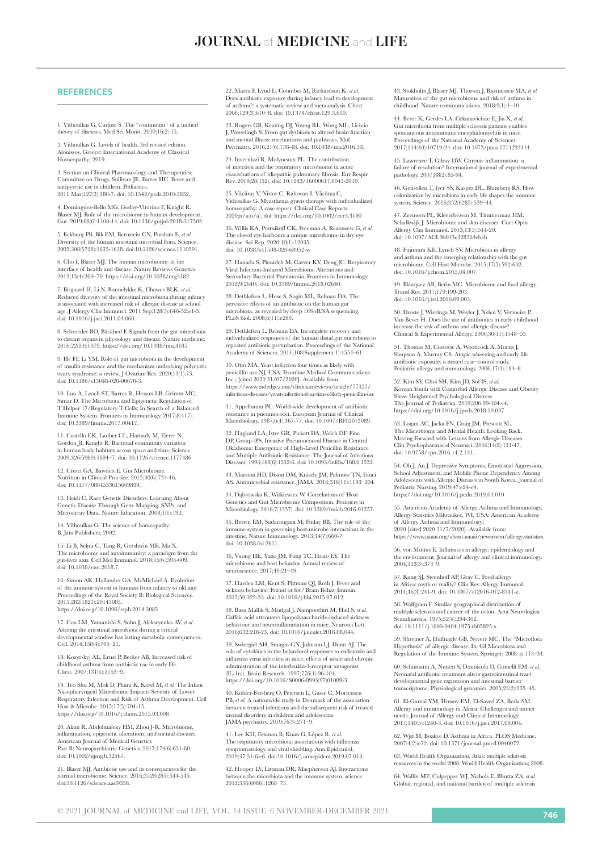#### **REFERENCES**

1. Vithoulkas G, Carlino S. The "continuum" of a unified theory of diseases. Med Sci Monit. 2010;16(2):15.

2. Vithoulkas G. Levels of health. 3rd revised edition. Alonissos, Greece: International Academy of Classical Homeopathy; 2019.

3. Section on Clinical Pharmacology and Therapeutics; Committee on Drugs, Sullivan JE, Farrar HC. Fever and antipyretic use in children. Pediatrics. 2011 Mar;127(3):580-7. doi: 10.1542/peds.2010-3852..

guez-Bello MG, Godoy-Vitorino F, Knight R, Blaser MJ. Role of the microbiome in human development. Gut. 2019;68(6):1108-14. doi: 10.1136/gutjnl-2018-317503.

5. Eckburg PB, Bik EM, Bernstein CN, Purdom E, *et al.* Diversity of the human intestinal microbial flora. Science. 2005;308(5728):1635-1638. doi:10.1126/science.1110591.

6. Cho I, Blaser MJ. The human microbiome: at the interface of health and disease. Nature Reviews Genetics. 2012;13(4):260–70. https://doi.org/10.1038/nrg3182

7. Bisgaard H, Li N, Bonnelykke K, Chawes BLK, *et al.* Reduced diversity of the intestinal microbiota during infancy is associated with increased risk of allergic disease at school age. J Allergy Clin Immunol. 2011 Sep;128(3):646-52.e1-5. doi: 10.1016/j.jaci.2011.04.060.

8. Schroeder BO, Bäckhed F. Signals from the gut microbiota to distant organs in physiology and disease. Nature medicine. 2016;22(10):1079. https://doi.org/10.1038/nm.4185

9. He FF, Li YM. Role of gut microbiota in the development of insulin resistance and the mechanism underlying polycystic ovary syndrome: a review. J Ovarian Res. 2020;13(1):73. doi: 10.1186/s13048-020-00670-3.

10. Luo A, Leach ST, Barres R, Hesson LB, Grimm MC, Simar D. The Microbiota and Epigenetic Regulation of T Helper 17/Regulatory T Cells: In Search of a Balanced e System. Frontiers in Immunology. 2017;8(417). doi: 10.3389/fimmu.2017.00417.

11. Costello EK, Lauber CL, Hamady M, Fierer N, Gordon JI, Knight R. Bacterial community variation in human body habitats across space and time. Science. 2009;326(5960):1694–7. doi: 10.1126/science.1177486

12. Cresci GA, Bawden E. Gut Microbiome. Nutrition in Clinical Practice. 2015;30(6):734-46. doi: 10.1177/0884533615609899.

13. Heidi C. Rare Genetic Disorders: Learning About Genetic Disease Through Gene Mapping, SNPs, and Microarray Data. Nature Education. 2008:1(1):199.

14. Vithoulkas G. The science of homeopathy. B. Jain Publishers; 2002.

15. Li B, Selmi C, Tang R, Gershwin ME, Ma X. The microbiome and autoimmunity: a paradigm from the gut-liver axis. Cell Mol Immunol. 2018;15(6):595-609. doi: 10.1038/cmi.2018.7.

16. Simon AK, Hollander GA, McMichael A. Evolution of the immune system in humans from infancy to old age. Proceedings of the Royal Society B: Biological Sciences. 2015;282(1821):20143085. https://doi.org/10.1098/rspb.2014.3085

17. Cox LM, Yamanishi S, Sohn J, Alekseyenko AV, *et al.* Altering the intestinal microbiota during a critical developmental window has lasting metabolic consequences. Cell. 2014;158(4):705–21.

18. Kozyrskyj AL, Ernst P, Becker AB. Increased risk of childhood asthma from antibiotic use in early life. Chest. 2007;131(6):1753–9.

19. Teo Shu M, Mok D, Pham K, Kusel M, *et al.* The Infant Nasopharyngeal Microbiome Impacts Severity of Lower Respiratory Infection and Risk of Asthma Development. Cell Host & Microbe. 2015;17(5):704-15. https://doi.org/10.1016/j.chom.2015.03.008

20. Alam R, Abdolmaleky HM, Zhou J-R. Microbiome, inflammation, epigenetic alterations, and mental diseases. American Journal of Medical Genetics Part B: Neuropsychiatric Genetics. 2017;174(6):651-60. doi: 10.1002/ajmg.b.32567.

21. Blaser MJ. Antibiotic use and its consequences for the normal microbiome. Science. 2016;352(6285):544-545. doi:10.1126/science.aad9358.

22. Marra F, Lynd L, Coombes M, Richardson K, *et al.* Does antibiotic exposure during infancy lead to development of asthma?: a systematic review and metaanalysis. Chest. 2006;129(3):610–8. doi: 10.1378/chest.129.3.610.

23. Rogers GB, Keating DJ, Young RL, Wong ML, Licinio J, Wesselingh S. From gut dysbiosis to altered brain function and mental illness: mechanisms and pathways. Mol Psychiatry. 2016;21(6):738-48. doi: 10.1038/mp.2016.50.

24. Invernizzi R, Molyneaux PL. The contribution of infection and the respiratory microbiome in acute exacerbations of idiopathic pulmonary fibrosis. Eur Respir Rev. 2019;28(152). doi: 10.1183/16000617.0045-2019

25. Văcăraș V, Nistor C, Rahovan I, Văcăraş C, Vithoulkas G. Myasthenia gravis therapy with individualized homeopathy: A case report. Clinical Case Reports. 2020;n/a(n/a). doi: https://doi.org/10.1002/ccr3.3190

26. Willis KA, Postnikoff CK, Freeman A, Rezonzew G, *et al.* The closed eye harbours a unique microbiome in dry eye disease. Sci Rep. 2020;10(1):12035. doi: 10.1038/s41598-020-68952-w.

27. Hanada S, Pirzadeh M, Carver KY, Deng JC. Respiratory Viral Infection-Induced Microbiome Alterations and Secondary Bacterial Pneumonia. Frontiers in Immunology. 2018;9(2640). doi: 10.3389/fimmu.2018.02640.

28. Dethlefsen L, Huse S, Sogin ML, Relman DA. The pervasive effects of an antibiotic on the human gut microbiota, as revealed by deep 16S rRNA sequencing. PLoS biol. 2008;6(11):e280.

29. Dethlefsen L, Relman DA. Incomplete recovery and individualized responses of the human distal gut microbiota to repeated antibiotic perturbation. Proceedings of the National Academy of Sciences. 2011;108(Supplement 1):4554–61.

30. Otto MA. Yeast infection four times as likely with penicillin use NJ, USA: Frontline Medical Communications Inc.; [cited 2020 31/07/2020]. Available from https://www.mdedge.com/clinicianreviews/article/77427/ infectious-diseases/yeast-infection-four-times-likely-penicillin-use

31. Appelbaum PC. World-wide development of antibiotic resiste in pneumococci. European Journal of Clinical Microbiology. 1987;6(4):367-77. doi: 10.1007/BF02013089.

32. Haglund LA, Istre GR, Pickett DA, Welch DF, Fine DP, Group tPS. Invasive Pneumococcal Disease in Central Oklahoma: Emergence of High-Level Penicillin Resistance and Multiple Antibiotic Resistance. The Journal of Infectious Diseases. 1993;168(6):1532-6. doi: 10.1093/infdis/168.6.1532.

33. Marston HD, Dixon DM, Knisely JM, Palmore TN, Fauci AS. Antimicrobial resistance. JAMA. 2016;316(11):1193–204.

34. Dąbrowska K, Witkiewicz W. Correlations of Host Genetics and Gut Microbiome Composition. Frontiers in Microbiology. 2016;7(1357). doi: 10.3389/fmicb.2016.01357.

35. Brown EM, Sadarangani M, Finlay BB. The role of the immune system in governing host-microbe interactions in the intestine. Nature Immunology. 2013;14(7):660-7. doi: 10.1038/ni.2611.

36. Vuong HE, Yano JM, Fung TC, Hsiao EY. The microbiome and host behavior. Annual review of neuroscience. 2017;40:21–49.

37. Harden LM, Kent S, Pittman QJ, Roth J. Fever and sickness behavior: Friend or foe? Brain Behav Immun. 2015;50:322-33. doi: 10.1016/j.bbi.2015.07.012.

38. Basu Mallik S, Mudgal J, Nampoothiri M, Hall S, *et al.* Caffeic acid attenuates lipopolysaccharide-induced sickness behaviour and neuroinflammation in mice. Neurosci Lett. 2016;632:218-23. doi: 10.1016/j.neulet.2016.08.044.

39. Swiergiel AH, Smagin GN, Johnson LJ, Dunn AJ. The role of cytokines in the behavioral responses to endotoxin and influenza virus infection in mice: effects of acute and chronic administration of the interleukin-1-receptor antagonist (IL-1ra). Brain Research. 1997;776(1):96-104. https://doi.org/10.1016/S0006-8993(97)01009-3

40. Köhler-Forsberg O, Petersen L, Gasse C, Mortensen PB, *et al.* A nationwide study in Denmark of the association between treated infections and the subsequent risk of treated mental disorders in children and adolescents. JAMA psychiatry. 2019;76(3):271–9.

41. Lee KH, Foxman B, Kuan G, López R, *et al.* The respiratory microbiota: associations with influenza symptomatology and viral shedding. Ann Epidemiol. 2019;37:51-6.e6. doi:10.1016/j.annepidem.2019.07.013.

42. Hooper LV, Littman DR, Macpherson AJ. Interactions between the microbiota and the immune system. science. 2012;336(6086):1268–73.

43. Stokholm J, Blaser MJ, Thorsen J, Rasmussen MA, *et al.* Maturation of the gut microbiome and risk of asthma in childhood. Nature communications. 2018;9(1):1–10.

44. Berer K, Gerdes LA, Cekanaviciute E, Jia X, *et al.* Gut microbiota from multiple sclerosis patients enables spontaneous autoimmune encephalomyelitis in mice. Proceedings of the National Academy of Science 2017;114(40):10719-24. doi: 10.1073/pnas.1711233114.

45. Lawrence T, Gilroy DW. Chronic inflammation: a failure of resolution? International journal of experimental pathology. 2007;88(2):85-94.

46. Gensollen T, Iyer SS, Kasper DL, Blumberg RS. How colonization by microbiota in early life shapes the immune system. Science. 2016;352(6285):539–44.

47. Zeeuwen PL, Kleerebezem M, Timmerman HM, Schalkwijk J. Microbiome and skin diseases. Curr Opin Allergy Clin Immunol. 2013;13(5):514-20. doi: 10.1097/ACI.0b013e328364ebeb

48. Fujimura KE, Lynch SV. Microbiota in allergy and asthma and the emerging relationship with the gut microbiome. Cell Host Microbe. 2015;17(5):592-602. doi: 10.1016/j.chom.2015.04.007.

49. Blázquez AB, Berin MC. Microbiome and food allergy. Transl Res. 2017;179:199-203. doi: 10.1016/j.trsl.2016.09.003.

50. Droste J, Wieringa M, Weyler J, Nelen V, Vermeire P, Van Bever H. Does the use of antibiotics in early childhood increase the risk of asthma and allergic disease? Clinical & Experimental Allergy. 2000;30(11):1548–53.

51. Thomas M, Custovic A, Woodcock A, Morris J, Simpson A, Murray CS. Atopic wheezing and early life antibiotic exposure: a nested case–control study. Pediatric allergy and immunology. 2006;17(3):184–8.

52. Kim SY, Choi SH, Kim JD, Sol IS, *et al.* Korean Youth with Comorbid Allergic Disease and Obesity Show Heightened Psychological Distress. The Journal of Pediatrics. 2019;206:99-104.e4. https://doi.org/10.1016/j.jpeds.2018.10.037

53. Logan AC, Jacka FN, Craig JM, Prescott SL. The Microbiome and Mental Health: Looking Back, Moving Forward with Lessons from Allergic Diseases. Clin Psychopharmacol Neurosci. 2016;14(2):131-47. doi: 10.9758/cpn.2016.14.2.131.

54. Oh J, An J. Depressive Symptoms, Emotional Aggression, School Adjustment, and Mobile Phone Dependency Among Adolescents with Allergic Diseases in South Korea. Journal of Pediatric Nursing. 2019;47:e24-e9. https://doi.org/10.1016/j.pedn.2019.04.010

55. American Academy of Allergy Asthma and Immunology. Allergy Statsitics Milwaukee, WI, USA: American Academy of Allergy Asthma and Immunology; 2020 [cited 2020 31/7/2020]. Available from: https://www.aaaai.org/about-aaaai/newsroom/allergy-statistics.

56. von Mutius E. Influences in allergy: epidemiology and the environment. Journal of allergy and clinical immunology. 2004;113(3):373–9.

57. Kung SJ, Steenhoff AP, Gray C. Food allergy in Africa: myth or reality? Clin Rev Allergy Immunol. 2014;46(3):241-9. doi: 10.1007/s12016-012-8341-z.

58. Wolfgram F. Similar geographical distribution of multiple sclerosis and cancer of the colon. Acta Neurologica Scandinavica. 1975;52(4):294-302. doi: 10.1111/j.1600-0404.1975.tb05825.x.

59. Shreiner A, Huffnagle GB, Noverr MC. The "Microflora Hypothesis" of allergic disease. In: GI Microbiota and Regulation of the Immune System. Springer; 2008. p. 113–34.

60. Schumann A, Nutten S, Donnicola D, Comelli EM, *et al.* Neonatal antibiotic treatment alters gastrointestinal tract developmental gene expression and intestinal barrier transcriptome. Physiological genomics. 2005;23(2):235–45.

61. El-Gamal YM, Hossny EM, El-Sayed ZA, Reda SM. Allergy and immunology in Africa: Challenges and unmet needs. Journal of Allergy and Clinical Immunology. 2017;140(5):1240-3. doi: 10.1016/j.jaci.2017.09.004.

62. Wjst M, Boakye D. Asthma in Africa. PLOS Medicine. 2007;4(2):e72. doi: 10.1371/journal.pmed.0040072.

63. World Health Organization. Atlas: multiple sclerosis resources in the world 2008: World Health Organization; 2008.

64. Wallin MT, Culpepper WJ, Nichols E, Bhutta ZA, *et al.* Global, regional, and national burden of multiple sclerosis